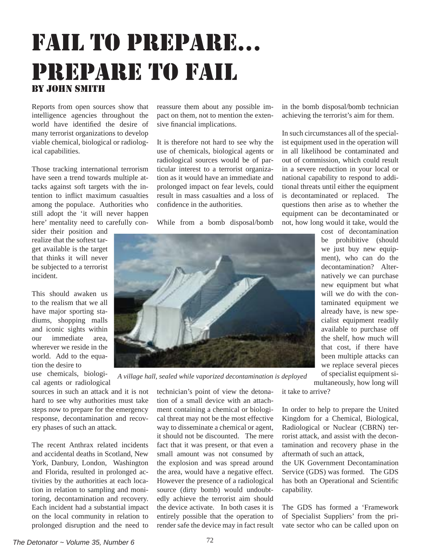## *The Detonator ~ Volume 35, Number 6* 72

## fail to prepare... prepare to fail by john smith

Reports from open sources show that intelligence agencies throughout the world have identified the desire of many terrorist organizations to develop viable chemical, biological or radiological capabilities.

Those tracking international terrorism have seen a trend towards multiple attacks against soft targets with the intention to inflict maximum casualties among the populace. Authorities who still adopt the 'it will never happen here' mentality need to carefully con-

sider their position and realize that the softest target available is the target that thinks it will never be subjected to a terrorist incident.

This should awaken us to the realism that we all have major sporting stadiums, shopping malls and iconic sights within our immediate area, wherever we reside in the world. Add to the equation the desire to

use chemicals, biological agents or radiological

sources in such an attack and it is not hard to see why authorities must take steps now to prepare for the emergency response, decontamination and recovery phases of such an attack.

The recent Anthrax related incidents and accidental deaths in Scotland, New York, Danbury, London, Washington and Florida, resulted in prolonged activities by the authorities at each location in relation to sampling and monitoring, decontamination and recovery. Each incident had a substantial impact on the local community in relation to prolonged disruption and the need to

reassure them about any possible impact on them, not to mention the extensive financial implications.

It is therefore not hard to see why the use of chemicals, biological agents or radiological sources would be of particular interest to a terrorist organization as it would have an immediate and prolonged impact on fear levels, could result in mass casualties and a loss of confidence in the authorities.

While from a bomb disposal/bomb

technician's point of view the detonation of a small device with an attachment containing a chemical or biological threat may not be the most effective way to disseminate a chemical or agent, it should not be discounted. The mere fact that it was present, or that even a small amount was not consumed by the explosion and was spread around the area, would have a negative effect. However the presence of a radiological source (dirty bomb) would undoubtedly achieve the terrorist aim should the device activate. In both cases it is entirely possible that the operation to render safe the device may in fact result

in the bomb disposal/bomb technician achieving the terrorist's aim for them.

In such circumstances all of the specialist equipment used in the operation will in all likelihood be contaminated and out of commission, which could result in a severe reduction in your local or national capability to respond to additional threats until either the equipment is decontaminated or replaced. The questions then arise as to whether the equipment can be decontaminated or not, how long would it take, would the

cost of decontamination be prohibitive (should we just buy new equipment), who can do the decontamination? Alternatively we can purchase new equipment but what will we do with the contaminated equipment we already have, is new specialist equipment readily available to purchase off the shelf, how much will that cost, if there have been multiple attacks can we replace several pieces of specialist equipment si-

multaneously, how long will it take to arrive? *A village hall, sealed while vaporized decontamination is deployed*

> In order to help to prepare the United Kingdom for a Chemical, Biological, Radiological or Nuclear (CBRN) terrorist attack, and assist with the decontamination and recovery phase in the aftermath of such an attack,

> the UK Government Decontamination Service (GDS) was formed. The GDS has both an Operational and Scientific capability.

> The GDS has formed a 'Framework of Specialist Suppliers' from the private sector who can be called upon on